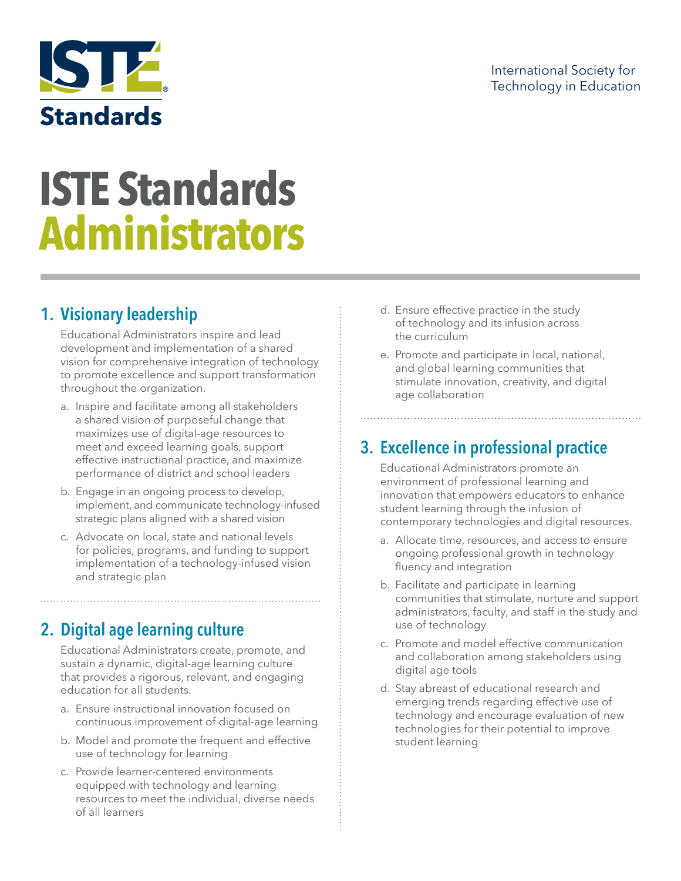



# **ISTE Standards Administrators**

# **1. Visionary leadership**

Educational Administrators inspire and lead development and implementation of a shared vision for comprehensive integration of technology to promote excellence and support transformation throughout the organization.

- a. Inspire and facilitate among all stakeholders a shared vision of purposeful change that maximizes use of digital-age resources to meet and exceed learning goals, support effective instructional practice, and maximize performance of district and school leaders
- b. Engage in an ongoing process to develop, implement, and communicate technology-infused strategic plans aligned with a shared vision
- c. Advocate on local, state and national levels for policies, programs, and funding to support implementation of a technology-infused vision and strategic plan

## **2. Digital age learning culture**

Educational Administrators create, promote, and sustain a dynamic, digital-age learning culture that provides a rigorous, relevant, and engaging education for all students.

- a. Ensure instructional innovation focused on continuous improvement of digital-age learning
- b. Model and promote the frequent and effective use of technology for learning
- c. Provide learner-centered environments equipped with technology and learning resources to meet the individual, diverse needs of all learners
- d. Ensure effective practice in the study of technology and its infusion across the curriculum
- e. Promote and participate in local, national, and global learning communities that stimulate innovation, creativity, and digital age collaboration

#### **3. Excellence in professional practice**

Educational Administrators promote an environment of professional learning and innovation that empowers educators to enhance student learning through the infusion of contemporary technologies and digital resources.

- a. Allocate time, resources, and access to ensure ongoing professional growth in technology fluency and integration
- b. Facilitate and participate in learning communities that stimulate, nurture and support administrators, faculty, and staff in the study and use of technology
- c. Promote and model effective communication and collaboration among stakeholders using digital age tools
- d. Stay abreast of educational research and emerging trends regarding effective use of technology and encourage evaluation of new technologies for their potential to improve student learning